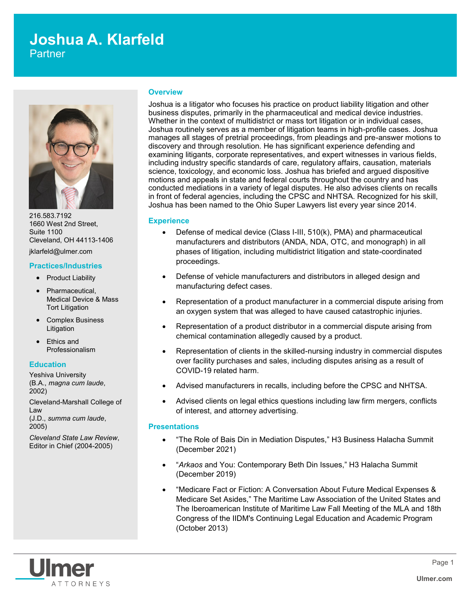# **Joshua A. Klarfeld**

**Partner** 



216.583.7192 1660 West 2nd Street, Suite 1100 Cleveland, OH 44113-1406 jklarfeld@ulmer.com

#### **Practices/Industries**

- Product Liability
- Pharmaceutical, Medical Device & Mass Tort Litigation
- Complex Business **Litigation**
- Ethics and Professionalism

# **Education**

Yeshiva University (B.A., *magna cum laude*, 2002)

Cleveland-Marshall College of Law (J.D., *summa cum laude*, 2005)

*Cleveland State Law Review*, Editor in Chief (2004-2005)

#### **Overview**

Joshua is a litigator who focuses his practice on product liability litigation and other business disputes, primarily in the pharmaceutical and medical device industries. Whether in the context of multidistrict or mass tort litigation or in individual cases, Joshua routinely serves as a member of litigation teams in high-profile cases. Joshua manages all stages of pretrial proceedings, from pleadings and pre-answer motions to discovery and through resolution. He has significant experience defending and examining litigants, corporate representatives, and expert witnesses in various fields, including industry specific standards of care, regulatory affairs, causation, materials science, toxicology, and economic loss. Joshua has briefed and argued dispositive motions and appeals in state and federal courts throughout the country and has conducted mediations in a variety of legal disputes. He also advises clients on recalls in front of federal agencies, including the CPSC and NHTSA. Recognized for his skill, Joshua has been named to the Ohio Super Lawyers list every year since 2014.

# **Experience**

- Defense of medical device (Class I-III, 510(k), PMA) and pharmaceutical manufacturers and distributors (ANDA, NDA, OTC, and monograph) in all phases of litigation, including multidistrict litigation and state-coordinated proceedings.
- Defense of vehicle manufacturers and distributors in alleged design and manufacturing defect cases.
- Representation of a product manufacturer in a commercial dispute arising from an oxygen system that was alleged to have caused catastrophic injuries.
- Representation of a product distributor in a commercial dispute arising from chemical contamination allegedly caused by a product.
- Representation of clients in the skilled-nursing industry in commercial disputes over facility purchases and sales, including disputes arising as a result of COVID-19 related harm.
- Advised manufacturers in recalls, including before the CPSC and NHTSA.
- Advised clients on legal ethics questions including law firm mergers, conflicts of interest, and attorney advertising.

# **Presentations**

- "The Role of Bais Din in Mediation Disputes," H3 Business Halacha Summit (December 2021)
- "*Arkaos* and You: Contemporary Beth Din Issues," H3 Halacha Summit (December 2019)
- "Medicare Fact or Fiction: A Conversation About Future Medical Expenses & Medicare Set Asides," The Maritime Law Association of the United States and The Iberoamerican Institute of Maritime Law Fall Meeting of the MLA and 18th Congress of the IIDM's Continuing Legal Education and Academic Program (October 2013)

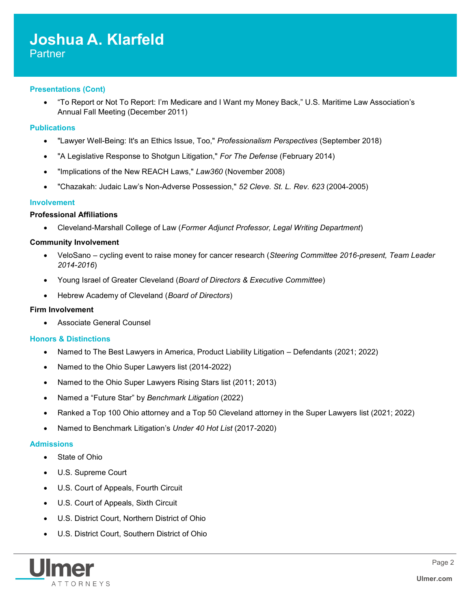# **Presentations (Cont)**

 "To Report or Not To Report: I'm Medicare and I Want my Money Back," U.S. Maritime Law Association's Annual Fall Meeting (December 2011)

# **Publications**

- "Lawyer Well-Being: It's an Ethics Issue, Too," *Professionalism Perspectives* (September 2018)
- "A Legislative Response to Shotgun Litigation," *For The Defense* (February 2014)
- "Implications of the New REACH Laws," *Law360* (November 2008)
- "Chazakah: Judaic Law's Non-Adverse Possession," *52 Cleve. St. L. Rev. 623* (2004-2005)

# **Involvement**

# **Professional Affiliations**

Cleveland-Marshall College of Law (*Former Adjunct Professor, Legal Writing Department*)

# **Community Involvement**

- VeloSano cycling event to raise money for cancer research (*Steering Committee 2016-present, Team Leader 2014-2016*)
- Young Israel of Greater Cleveland (*Board of Directors & Executive Committee*)
- Hebrew Academy of Cleveland (*Board of Directors*)

# **Firm Involvement**

Associate General Counsel

# **Honors & Distinctions**

- Named to The Best Lawyers in America, Product Liability Litigation Defendants (2021; 2022)
- Named to the Ohio Super Lawyers list (2014-2022)
- Named to the Ohio Super Lawyers Rising Stars list (2011; 2013)
- Named a "Future Star" by *Benchmark Litigation* (2022)
- Ranked a Top 100 Ohio attorney and a Top 50 Cleveland attorney in the Super Lawyers list (2021; 2022)
- Named to Benchmark Litigation's *Under 40 Hot List* (2017-2020)

# **Admissions**

- State of Ohio
- U.S. Supreme Court
- U.S. Court of Appeals, Fourth Circuit
- U.S. Court of Appeals, Sixth Circuit
- U.S. District Court, Northern District of Ohio
- U.S. District Court, Southern District of Ohio